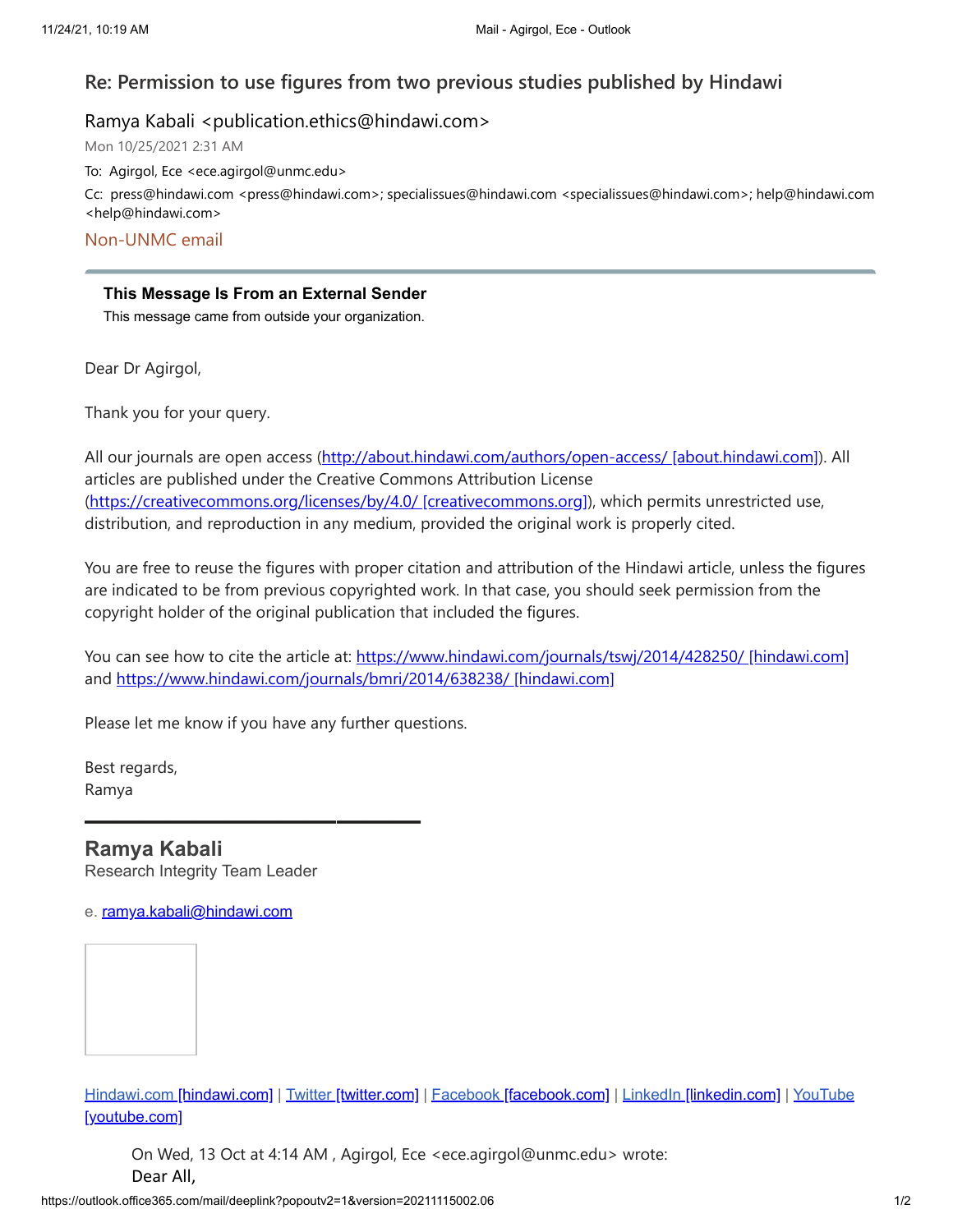## **Re: Permission to use figures from two previous studies published by Hindawi**

Ramya Kabali <publication.ethics@hindawi.com>

Mon 10/25/2021 2:31 AM

To: Agirgol, Ece <ece.agirgol@unmc.edu>

Cc: press@hindawi.com <press@hindawi.com>; specialissues@hindawi.com <specialissues@hindawi.com>; help@hindawi.com <help@hindawi.com>

Non-UNMC email

## **This Message Is From an External Sender**

This message came from outside your organization.

Dear Dr Agirgol,

Thank you for your query.

All our journals are open access ([http://about.hindawi.com/authors/open-access/ \[about.hindawi.com\]](https://urldefense.com/v3/__http://about.hindawi.com/authors/open-access/__;!!JkUDQA!fEBZcR0H_fPoVdycKlveVP_zgZd7OmXWXouTKzYD5e7P1Bov_5IRWnwKau5rLTv5yg$)). All articles are published under the Creative Commons Attribution License ([https://creativecommons.org/licenses/by/4.0/ \[creativecommons.org\]\)](https://urldefense.com/v3/__https://creativecommons.org/licenses/by/4.0/__;!!JkUDQA!fEBZcR0H_fPoVdycKlveVP_zgZd7OmXWXouTKzYD5e7P1Bov_5IRWnwKau6uFgTgoA$), which permits unrestricted use, distribution, and reproduction in any medium, provided the original work is properly cited.

You are free to reuse the figures with proper citation and attribution of the Hindawi article, unless the figures are indicated to be from previous copyrighted work. In that case, you should seek permission from the copyright holder of the original publication that included the figures.

You can see how to cite the article at: [https://www.hindawi.com/journals/tswj/2014/428250/ \[hindawi.com\]](https://urldefense.com/v3/__https://www.hindawi.com/journals/tswj/2014/428250/__;!!JkUDQA!fEBZcR0H_fPoVdycKlveVP_zgZd7OmXWXouTKzYD5e7P1Bov_5IRWnwKau4WnTv6hA$) and [https://www.hindawi.com/journals/bmri/2014/638238/ \[hindawi.com\]](https://urldefense.com/v3/__https://www.hindawi.com/journals/bmri/2014/638238/__;!!JkUDQA!fEBZcR0H_fPoVdycKlveVP_zgZd7OmXWXouTKzYD5e7P1Bov_5IRWnwKau6y_bNZPQ$)

Please let me know if you have any further questions.

**————————————**

Best regards, Ramya

## **Ramya Kabali**

Research Integrity Team Leader

e. [ramya.kabali@hindawi.com](mailto:)

Hindawi.com [\[hindawi.com\]](https://urldefense.com/v3/__http://www.hindawi.com/__;!!JkUDQA!fEBZcR0H_fPoVdycKlveVP_zgZd7OmXWXouTKzYD5e7P1Bov_5IRWnwKau50UkOAYQ$) | Twitter [\[twitter.com\]](https://urldefense.com/v3/__https://twitter.com/hindawi__;!!JkUDQA!fEBZcR0H_fPoVdycKlveVP_zgZd7OmXWXouTKzYD5e7P1Bov_5IRWnwKau6VCtMrlg$) | Facebook [\[facebook.com\]](https://urldefense.com/v3/__https://www.facebook.com/HindawiPublishing/__;!!JkUDQA!fEBZcR0H_fPoVdycKlveVP_zgZd7OmXWXouTKzYD5e7P1Bov_5IRWnwKau4iavlU2g$) | LinkedIn [\[linkedin.com\]](https://urldefense.com/v3/__https://www.linkedin.com/company/hindawi__;!!JkUDQA!fEBZcR0H_fPoVdycKlveVP_zgZd7OmXWXouTKzYD5e7P1Bov_5IRWnwKau72VvcRbg$) | YouTube [youtube.com]

On Wed, 13 Oct at 4:14 AM , Agirgol, Ece <ece.agirgol@unmc.edu> wrote: Dear All,